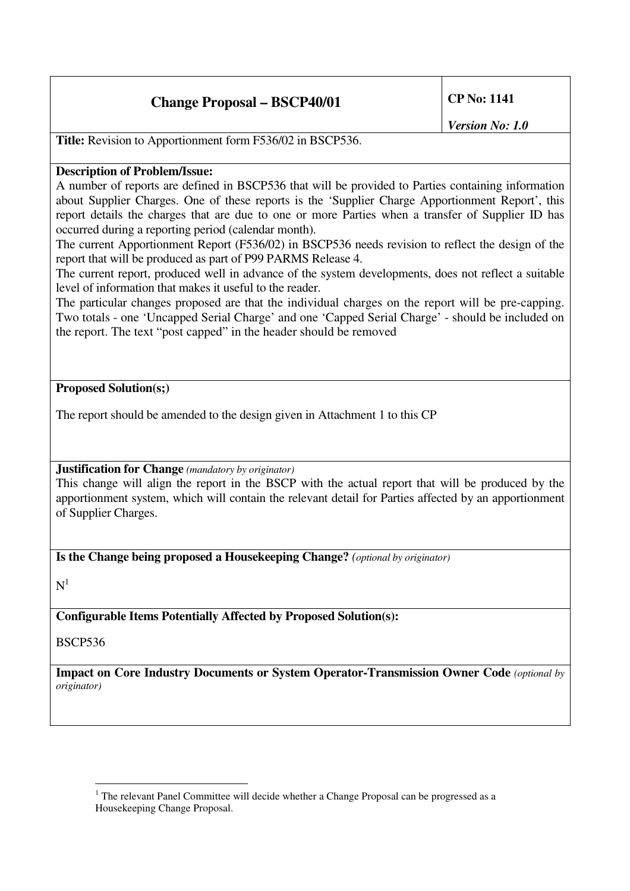## **Change Proposal – BSCP40/01 CP No: 1141**

*Version No: 1.0*

**Title:** Revision to Apportionment form F536/02 in BSCP536.

## **Description of Problem/Issue:**

A number of reports are defined in BSCP536 that will be provided to Parties containing information about Supplier Charges. One of these reports is the 'Supplier Charge Apportionment Report', this report details the charges that are due to one or more Parties when a transfer of Supplier ID has occurred during a reporting period (calendar month).

The current Apportionment Report (F536/02) in BSCP536 needs revision to reflect the design of the report that will be produced as part of P99 PARMS Release 4.

The current report, produced well in advance of the system developments, does not reflect a suitable level of information that makes it useful to the reader.

The particular changes proposed are that the individual charges on the report will be pre-capping. Two totals - one 'Uncapped Serial Charge' and one 'Capped Serial Charge' - should be included on the report. The text "post capped" in the header should be removed

## **Proposed Solution(s;)**

The report should be amended to the design given in Attachment 1 to this CP

**Justification for Change** *(mandatory by originator)*

This change will align the report in the BSCP with the actual report that will be produced by the apportionment system, which will contain the relevant detail for Parties affected by an apportionment of Supplier Charges.

**Is the Change being proposed a Housekeeping Change?** *(optional by originator)*

 $N<sup>1</sup>$ 

**Configurable Items Potentially Affected by Proposed Solution(s):**

BSCP536

**Impact on Core Industry Documents or System Operator-Transmission Owner Code** *(optional by originator)*

 $1$  The relevant Panel Committee will decide whether a Change Proposal can be progressed as a Housekeeping Change Proposal.